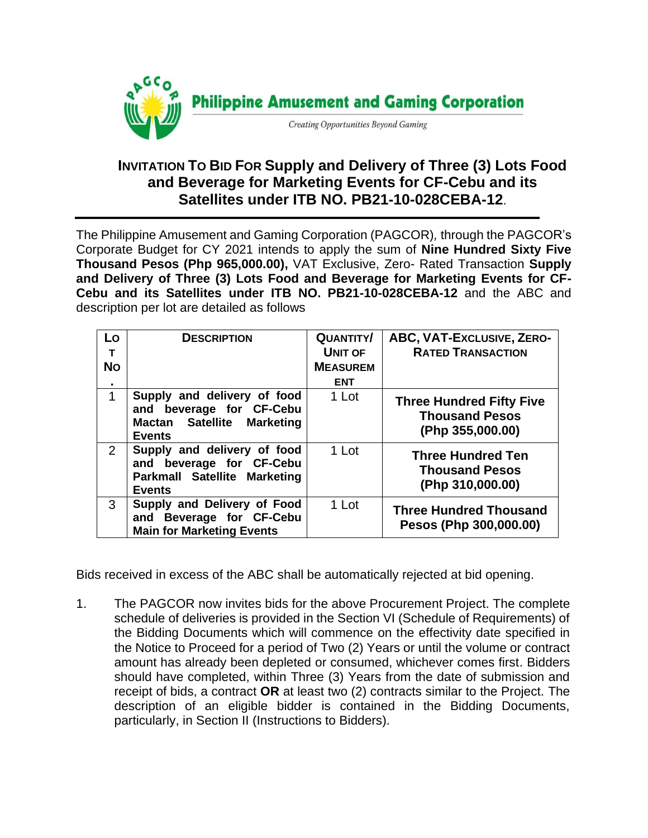

## **INVITATION TO BID FOR Supply and Delivery of Three (3) Lots Food and Beverage for Marketing Events for CF-Cebu and its Satellites under ITB NO. PB21-10-028CEBA-12**.

The Philippine Amusement and Gaming Corporation (PAGCOR)*,* through the PAGCOR's Corporate Budget for CY 2021 intends to apply the sum of **Nine Hundred Sixty Five Thousand Pesos (Php 965,000.00),** VAT Exclusive, Zero- Rated Transaction **Supply and Delivery of Three (3) Lots Food and Beverage for Marketing Events for CF-Cebu and its Satellites under ITB NO. PB21-10-028CEBA-12** and the ABC and description per lot are detailed as follows

| Lo<br>т<br><b>No</b> | <b>DESCRIPTION</b>                                                                                       | <b>QUANTITY/</b><br><b>UNIT OF</b><br><b>MEASUREM</b> | ABC, VAT-EXCLUSIVE, ZERO-<br><b>RATED TRANSACTION</b>                        |
|----------------------|----------------------------------------------------------------------------------------------------------|-------------------------------------------------------|------------------------------------------------------------------------------|
| ٠                    |                                                                                                          | <b>ENT</b>                                            |                                                                              |
| 1                    | Supply and delivery of food<br>and beverage for CF-Cebu<br>Mactan Satellite Marketing<br><b>Events</b>   | 1 Lot                                                 | <b>Three Hundred Fifty Five</b><br><b>Thousand Pesos</b><br>(Php 355,000.00) |
| $\overline{2}$       | Supply and delivery of food<br>and beverage for CF-Cebu<br>Parkmall Satellite Marketing<br><b>Events</b> | 1 Lot                                                 | <b>Three Hundred Ten</b><br><b>Thousand Pesos</b><br>(Php 310,000.00)        |
| 3                    | Supply and Delivery of Food<br>and Beverage for CF-Cebu<br><b>Main for Marketing Events</b>              | 1 Lot                                                 | <b>Three Hundred Thousand</b><br>Pesos (Php 300,000.00)                      |

Bids received in excess of the ABC shall be automatically rejected at bid opening.

1. The PAGCOR now invites bids for the above Procurement Project. The complete schedule of deliveries is provided in the Section VI (Schedule of Requirements) of the Bidding Documents which will commence on the effectivity date specified in the Notice to Proceed for a period of Two (2) Years or until the volume or contract amount has already been depleted or consumed, whichever comes first. Bidders should have completed, within Three (3) Years from the date of submission and receipt of bids, a contract **OR** at least two (2) contracts similar to the Project. The description of an eligible bidder is contained in the Bidding Documents, particularly, in Section II (Instructions to Bidders).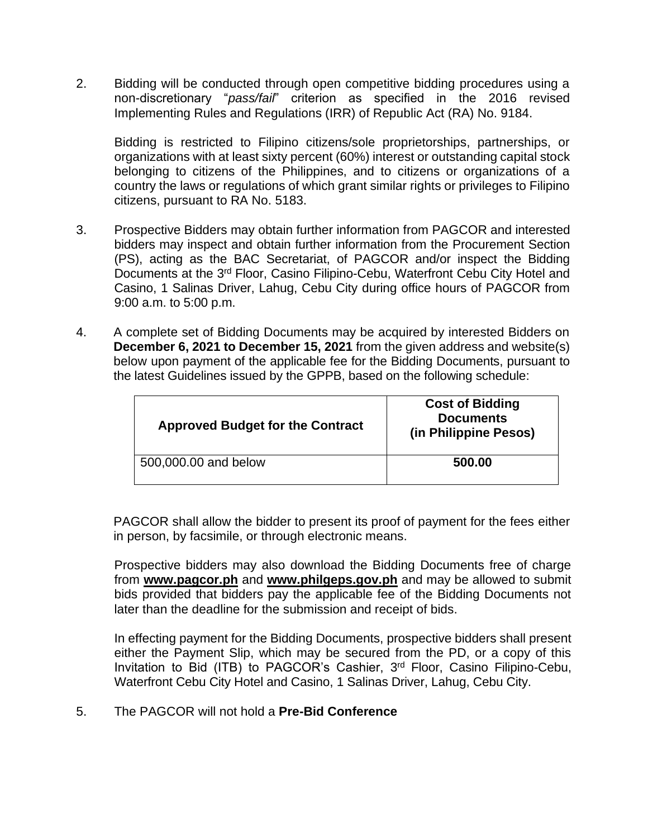2. Bidding will be conducted through open competitive bidding procedures using a non-discretionary "*pass/fail*" criterion as specified in the 2016 revised Implementing Rules and Regulations (IRR) of Republic Act (RA) No. 9184.

Bidding is restricted to Filipino citizens/sole proprietorships, partnerships, or organizations with at least sixty percent (60%) interest or outstanding capital stock belonging to citizens of the Philippines, and to citizens or organizations of a country the laws or regulations of which grant similar rights or privileges to Filipino citizens, pursuant to RA No. 5183.

- 3. Prospective Bidders may obtain further information from PAGCOR and interested bidders may inspect and obtain further information from the Procurement Section (PS), acting as the BAC Secretariat, of PAGCOR and/or inspect the Bidding Documents at the 3<sup>rd</sup> Floor, Casino Filipino-Cebu, Waterfront Cebu City Hotel and Casino, 1 Salinas Driver, Lahug, Cebu City during office hours of PAGCOR from 9:00 a.m. to 5:00 p.m.
- 4. A complete set of Bidding Documents may be acquired by interested Bidders on **December 6, 2021 to December 15, 2021** from the given address and website(s) below upon payment of the applicable fee for the Bidding Documents, pursuant to the latest Guidelines issued by the GPPB, based on the following schedule:

| <b>Approved Budget for the Contract</b> | <b>Cost of Bidding</b><br><b>Documents</b><br>(in Philippine Pesos) |
|-----------------------------------------|---------------------------------------------------------------------|
| 500,000.00 and below                    | 500.00                                                              |

PAGCOR shall allow the bidder to present its proof of payment for the fees either in person, by facsimile, or through electronic means.

Prospective bidders may also download the Bidding Documents free of charge from **[www.pagcor.ph](http://www.pagcor.ph/)** and **www.philgeps.gov.ph** and may be allowed to submit bids provided that bidders pay the applicable fee of the Bidding Documents not later than the deadline for the submission and receipt of bids.

In effecting payment for the Bidding Documents, prospective bidders shall present either the Payment Slip, which may be secured from the PD, or a copy of this Invitation to Bid (ITB) to PAGCOR's Cashier, 3<sup>rd</sup> Floor, Casino Filipino-Cebu, Waterfront Cebu City Hotel and Casino, 1 Salinas Driver, Lahug, Cebu City.

5. The PAGCOR will not hold a **Pre-Bid Conference**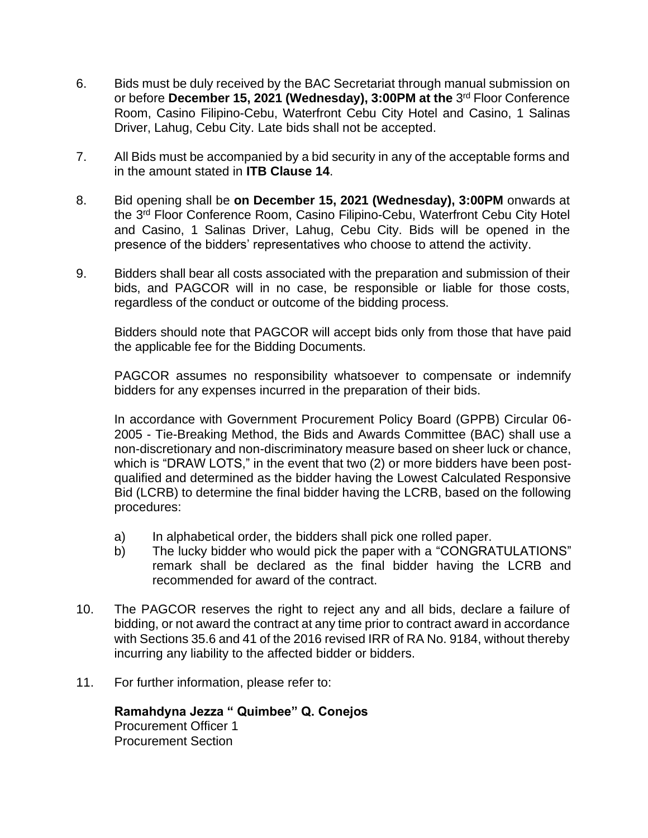- 6. Bids must be duly received by the BAC Secretariat through manual submission on or before December 15, 2021 (Wednesday), 3:00PM at the 3<sup>rd</sup> Floor Conference Room, Casino Filipino-Cebu, Waterfront Cebu City Hotel and Casino, 1 Salinas Driver, Lahug, Cebu City. Late bids shall not be accepted.
- 7. All Bids must be accompanied by a bid security in any of the acceptable forms and in the amount stated in **ITB Clause 14**.
- 8. Bid opening shall be **on December 15, 2021 (Wednesday), 3:00PM** onwards at the 3<sup>rd</sup> Floor Conference Room, Casino Filipino-Cebu, Waterfront Cebu City Hotel and Casino, 1 Salinas Driver, Lahug, Cebu City. Bids will be opened in the presence of the bidders' representatives who choose to attend the activity.
- 9. Bidders shall bear all costs associated with the preparation and submission of their bids, and PAGCOR will in no case, be responsible or liable for those costs, regardless of the conduct or outcome of the bidding process.

Bidders should note that PAGCOR will accept bids only from those that have paid the applicable fee for the Bidding Documents.

PAGCOR assumes no responsibility whatsoever to compensate or indemnify bidders for any expenses incurred in the preparation of their bids.

In accordance with Government Procurement Policy Board (GPPB) Circular 06- 2005 - Tie-Breaking Method, the Bids and Awards Committee (BAC) shall use a non-discretionary and non-discriminatory measure based on sheer luck or chance, which is "DRAW LOTS," in the event that two (2) or more bidders have been postqualified and determined as the bidder having the Lowest Calculated Responsive Bid (LCRB) to determine the final bidder having the LCRB, based on the following procedures:

- a) In alphabetical order, the bidders shall pick one rolled paper.
- b) The lucky bidder who would pick the paper with a "CONGRATULATIONS" remark shall be declared as the final bidder having the LCRB and recommended for award of the contract.
- 10. The PAGCOR reserves the right to reject any and all bids, declare a failure of bidding, or not award the contract at any time prior to contract award in accordance with Sections 35.6 and 41 of the 2016 revised IRR of RA No. 9184, without thereby incurring any liability to the affected bidder or bidders.
- 11. For further information, please refer to:

**Ramahdyna Jezza " Quimbee" Q. Conejos** Procurement Officer 1 Procurement Section